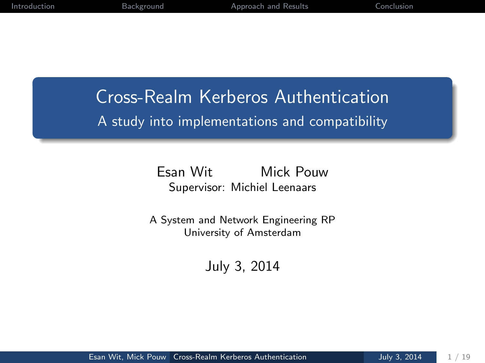## <span id="page-0-0"></span>Cross-Realm Kerberos Authentication A study into implementations and compatibility

Esan Wit Mick Pouw Supervisor: Michiel Leenaars

A System and Network Engineering RP University of Amsterdam

July 3, 2014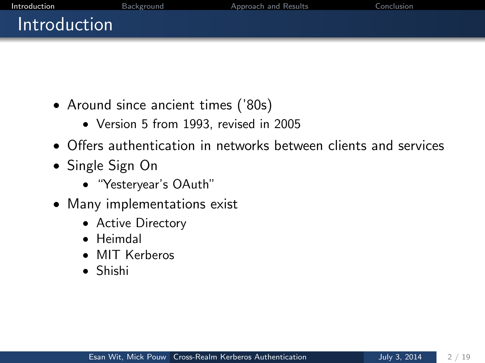<span id="page-1-0"></span>

| Introduction        | Background | Approach and Results | Conclusion |
|---------------------|------------|----------------------|------------|
| <b>Introduction</b> |            |                      |            |
|                     |            |                      |            |

- Around since ancient times ('80s)
	- Version 5 from 1993, revised in 2005
- Offers authentication in networks between clients and services
- Single Sign On
	- "Yesteryear's OAuth"
- Many implementations exist
	- Active Directory
	- Heimdal
	- MIT Kerberos
	- Shishi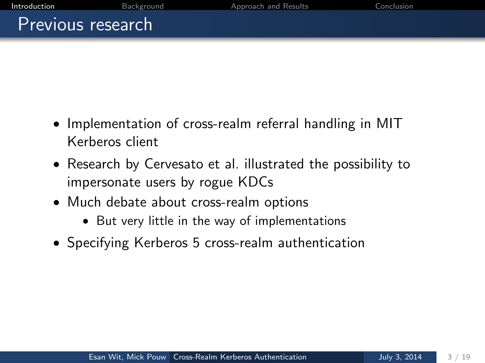[Introduction](#page-1-0) [Background](#page-4-0) [Approach and Results](#page-7-0) [Conclusion](#page-16-0) Previous research

- Implementation of cross-realm referral handling in MIT Kerberos client
- Research by Cervesato et al. illustrated the possibility to impersonate users by rogue KDCs
- Much debate about cross-realm options
	- But very little in the way of implementations
- Specifying Kerberos 5 cross-realm authentication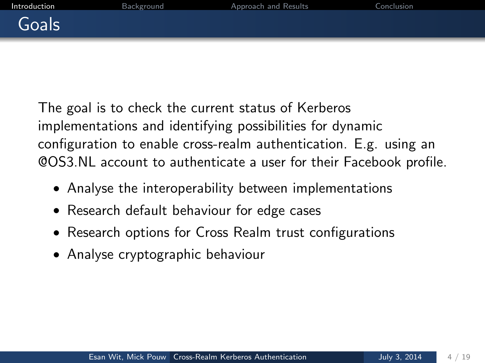The goal is to check the current status of Kerberos implementations and identifying possibilities for dynamic configuration to enable cross-realm authentication. E.g. using an @OS3.NL account to authenticate a user for their Facebook profile.

- Analyse the interoperability between implementations
- Research default behaviour for edge cases
- Research options for Cross Realm trust configurations
- Analyse cryptographic behaviour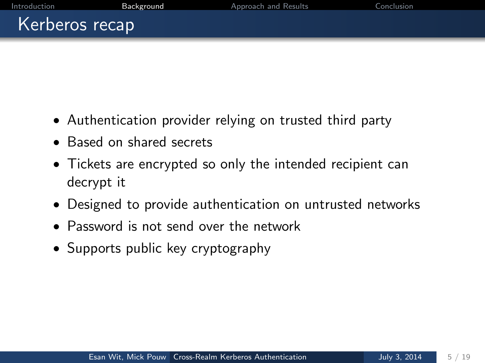- <span id="page-4-0"></span>• Authentication provider relying on trusted third party
- Based on shared secrets
- Tickets are encrypted so only the intended recipient can decrypt it
- Designed to provide authentication on untrusted networks
- Password is not send over the network
- Supports public key cryptography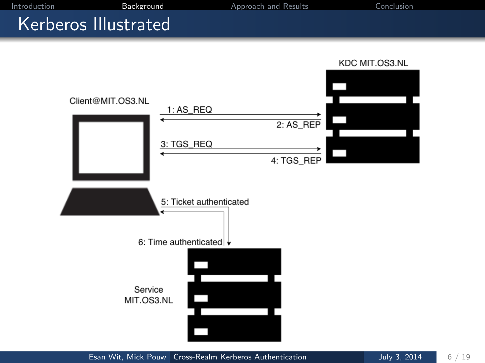#### Kerberos Illustrated

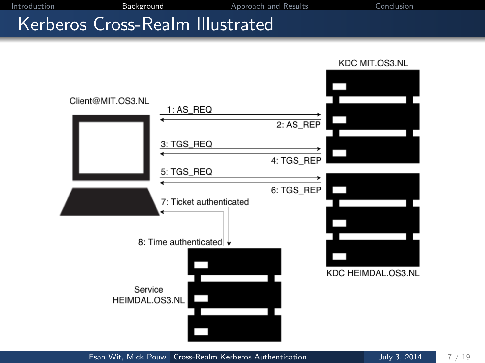[Introduction](#page-1-0) [Background](#page-4-0) [Approach and Results](#page-7-0) [Conclusion](#page-16-0)

#### Kerberos Cross-Realm Illustrated



Esan Wit, Mick Pouw [Cross-Realm Kerberos Authentication](#page-0-0) July 3, 2014 7 / 19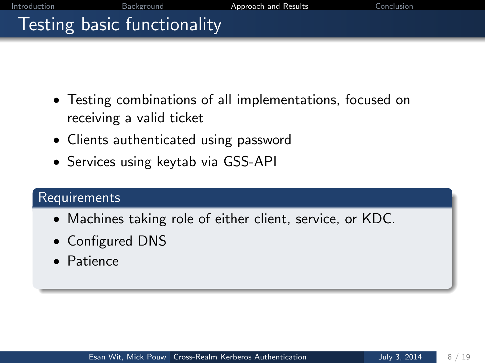# <span id="page-7-0"></span>Testing basic functionality

- Testing combinations of all implementations, focused on receiving a valid ticket
- Clients authenticated using password
- Services using keytab via GSS-API

#### **Requirements**

- Machines taking role of either client, service, or KDC.
- Configured DNS
- Patience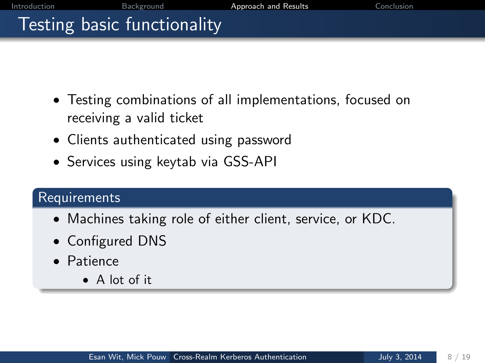# Testing basic functionality

- Testing combinations of all implementations, focused on receiving a valid ticket
- Clients authenticated using password
- Services using keytab via GSS-API

#### **Requirements**

- Machines taking role of either client, service, or KDC.
- Configured DNS
- Patience
	- A lot of it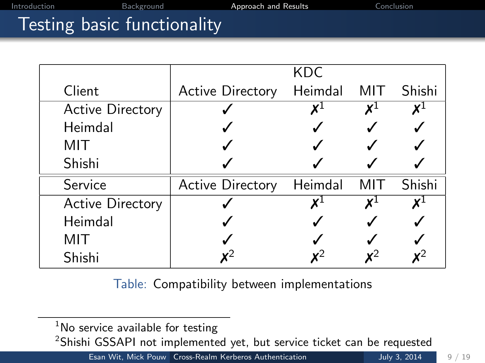## Testing basic functionality

|                         |                         | KDC     |     |        |
|-------------------------|-------------------------|---------|-----|--------|
| Client                  | <b>Active Directory</b> | Heimdal | MIT | Shishi |
| <b>Active Directory</b> |                         |         |     | χl     |
| Heimdal                 |                         |         |     |        |
| MIT                     |                         |         |     |        |
| Shishi                  |                         |         |     |        |
| Service                 | <b>Active Directory</b> | Heimdal | MIT | Shishi |
| <b>Active Directory</b> |                         |         |     | X٠     |
| Heimdal                 |                         |         |     |        |
| MIT                     |                         |         |     |        |
| Shishi                  |                         |         |     |        |

Table: Compatibility between implementations

<sup>2</sup>Shishi GSSAPI not implemented yet, but service ticket can be requested

 $1$ No service available for testing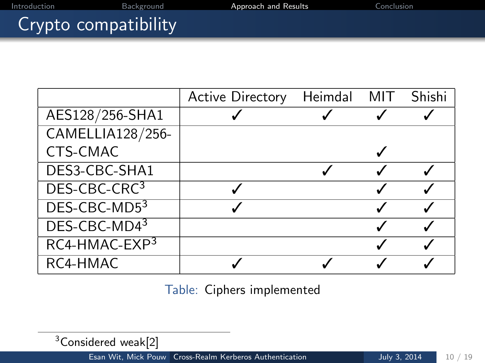# Crypto compatibility

|                          | <b>Active Directory</b> | Heimdal MIT Shishi |  |
|--------------------------|-------------------------|--------------------|--|
| AES128/256-SHA1          |                         |                    |  |
| <b>CAMELLIA128/256-</b>  |                         |                    |  |
| CTS-CMAC                 |                         |                    |  |
| DES3-CBC-SHA1            |                         |                    |  |
| DES-CBC-CRC <sup>3</sup> |                         |                    |  |
| DES-CBC-MD53             |                         |                    |  |
| DES-CBC-MD43             |                         |                    |  |
| RC4-HMAC-EXP3            |                         |                    |  |
| RC4-HMAC                 |                         |                    |  |

Table: Ciphers implemented

<sup>3</sup>Considered weak<sup>[\[2\]](#page-19-1)</sup>

Esan Wit, Mick Pouw [Cross-Realm Kerberos Authentication](#page-0-0) July 3, 2014 10 / 19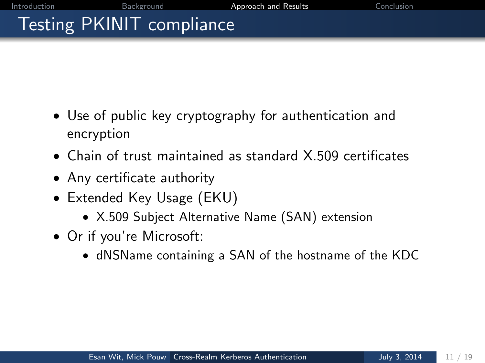# Testing PKINIT compliance

- Use of public key cryptography for authentication and encryption
- Chain of trust maintained as standard X.509 certificates
- Any certificate authority
- Extended Key Usage (EKU)
	- X.509 Subject Alternative Name (SAN) extension
- Or if you're Microsoft:
	- dNSName containing a SAN of the hostname of the KDC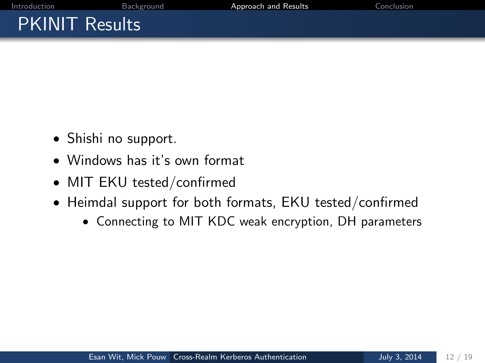# PKINIT Results

- Shishi no support.
- Windows has it's own format
- MIT EKU tested/confirmed
- Heimdal support for both formats, EKU tested/confirmed
	- Connecting to MIT KDC weak encryption, DH parameters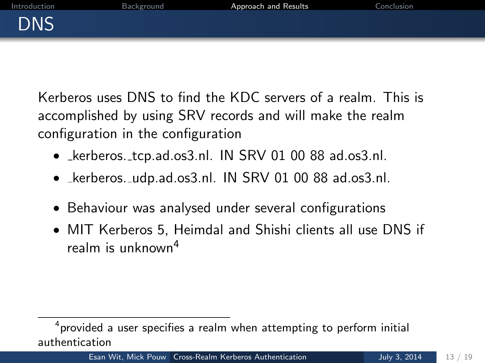Kerberos uses DNS to find the KDC servers of a realm. This is accomplished by using SRV records and will make the realm configuration in the configuration

- Lerberos. tcp.ad.os3.nl. IN SRV 01 00 88 ad.os3.nl.
- Lerberos. udp.ad.os3.nl. IN SRV 01 00 88 ad.os3.nl.
- Behaviour was analysed under several configurations
- MIT Kerberos 5, Heimdal and Shishi clients all use DNS if realm is unknown<sup>4</sup>

 $^4$ provided a user specifies a realm when attempting to perform initial authentication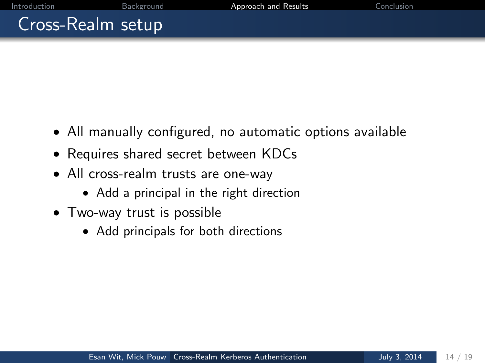## Cross-Realm setup

- All manually configured, no automatic options available
- Requires shared secret between KDCs
- All cross-realm trusts are one-way
	- Add a principal in the right direction
- Two-way trust is possible
	- Add principals for both directions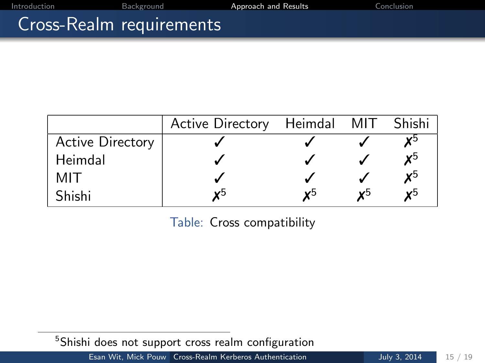#### Cross-Realm requirements

|                         | Active Directory Heimdal MIT Shishi |    |                |
|-------------------------|-------------------------------------|----|----------------|
| <b>Active Directory</b> |                                     |    | v٥             |
| Heimdal                 |                                     |    | уb             |
| MIT                     |                                     |    | $x^5$          |
| Shishi                  |                                     | v٥ | $\mathbf{v}^5$ |

Table: Cross compatibility

<span id="page-15-0"></span><sup>&</sup>lt;sup>5</sup>Shishi does not support cross realm configuration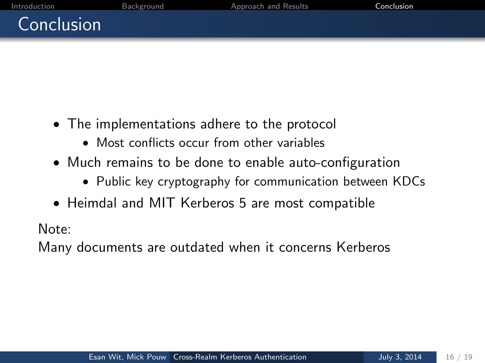## <span id="page-16-0"></span>Conclusion

- The implementations adhere to the protocol
	- Most conflicts occur from other variables
- Much remains to be done to enable auto-configuration
	- Public key cryptography for communication between KDCs
- Heimdal and MIT Kerberos 5 are most compatible

Note:

Many documents are outdated when it concerns Kerberos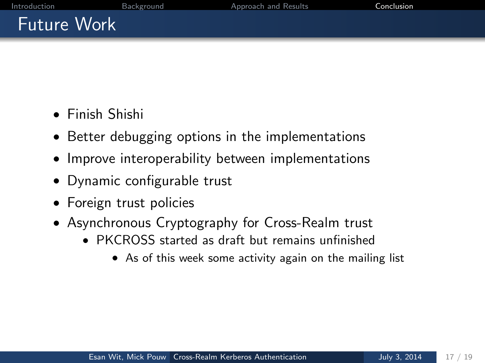# Future Work

- Finish Shishi
- Better debugging options in the implementations
- Improve interoperability between implementations
- Dynamic configurable trust
- Foreign trust policies
- Asynchronous Cryptography for Cross-Realm trust
	- PKCROSS started as draft but remains unfinished
		- As of this week some activity again on the mailing list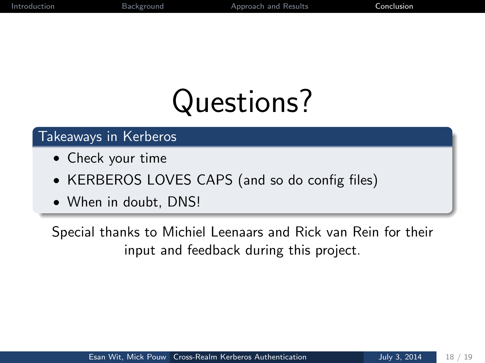# Questions?

#### Takeaways in Kerberos

- Check your time
- KERBEROS LOVES CAPS (and so do config files)
- When in doubt, DNS!

Special thanks to Michiel Leenaars and Rick van Rein for their input and feedback during this project.